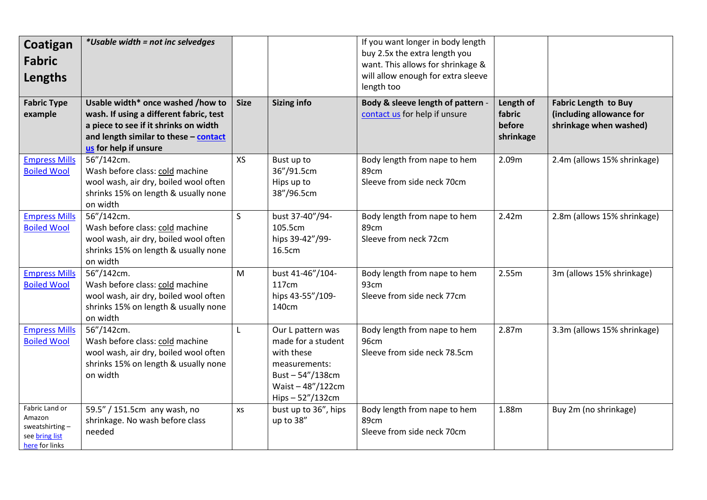| Coatigan<br><b>Fabric</b><br>Lengths                                           | *Usable width = not inc selvedges                                                                                                                                                       |              |                                                                                                                                   | If you want longer in body length<br>buy 2.5x the extra length you<br>want. This allows for shrinkage &<br>will allow enough for extra sleeve<br>length too |                                            |                                                                                   |
|--------------------------------------------------------------------------------|-----------------------------------------------------------------------------------------------------------------------------------------------------------------------------------------|--------------|-----------------------------------------------------------------------------------------------------------------------------------|-------------------------------------------------------------------------------------------------------------------------------------------------------------|--------------------------------------------|-----------------------------------------------------------------------------------|
| <b>Fabric Type</b><br>example                                                  | Usable width* once washed /how to<br>wash. If using a different fabric, test<br>a piece to see if it shrinks on width<br>and length similar to these - contact<br>us for help if unsure | <b>Size</b>  | <b>Sizing info</b>                                                                                                                | Body & sleeve length of pattern -<br>contact us for help if unsure                                                                                          | Length of<br>fabric<br>before<br>shrinkage | <b>Fabric Length to Buy</b><br>(including allowance for<br>shrinkage when washed) |
| <b>Empress Mills</b><br><b>Boiled Wool</b>                                     | 56"/142cm.<br>Wash before class: cold machine<br>wool wash, air dry, boiled wool often<br>shrinks 15% on length & usually none<br>on width                                              | <b>XS</b>    | Bust up to<br>36"/91.5cm<br>Hips up to<br>38"/96.5cm                                                                              | Body length from nape to hem<br>89cm<br>Sleeve from side neck 70cm                                                                                          | 2.09m                                      | 2.4m (allows 15% shrinkage)                                                       |
| <b>Empress Mills</b><br><b>Boiled Wool</b>                                     | 56"/142cm.<br>Wash before class: cold machine<br>wool wash, air dry, boiled wool often<br>shrinks 15% on length & usually none<br>on width                                              | $\mathsf{S}$ | bust 37-40"/94-<br>105.5cm<br>hips 39-42"/99-<br>16.5cm                                                                           | Body length from nape to hem<br>89cm<br>Sleeve from neck 72cm                                                                                               | 2.42m                                      | 2.8m (allows 15% shrinkage)                                                       |
| <b>Empress Mills</b><br><b>Boiled Wool</b>                                     | 56"/142cm.<br>Wash before class: cold machine<br>wool wash, air dry, boiled wool often<br>shrinks 15% on length & usually none<br>on width                                              | M            | bust 41-46"/104-<br>117cm<br>hips 43-55"/109-<br>140cm                                                                            | Body length from nape to hem<br>93cm<br>Sleeve from side neck 77cm                                                                                          | 2.55m                                      | 3m (allows 15% shrinkage)                                                         |
| <b>Empress Mills</b><br><b>Boiled Wool</b>                                     | 56"/142cm.<br>Wash before class: cold machine<br>wool wash, air dry, boiled wool often<br>shrinks 15% on length & usually none<br>on width                                              | L            | Our L pattern was<br>made for a student<br>with these<br>measurements:<br>Bust $-54''/138cm$<br>Waist-48"/122cm<br>Hips-52"/132cm | Body length from nape to hem<br>96cm<br>Sleeve from side neck 78.5cm                                                                                        | 2.87m                                      | 3.3m (allows 15% shrinkage)                                                       |
| Fabric Land or<br>Amazon<br>sweatshirting-<br>see bring list<br>here for links | 59.5" / 151.5cm any wash, no<br>shrinkage. No wash before class<br>needed                                                                                                               | XS           | bust up to 36", hips<br>up to 38"                                                                                                 | Body length from nape to hem<br>89cm<br>Sleeve from side neck 70cm                                                                                          | 1.88m                                      | Buy 2m (no shrinkage)                                                             |